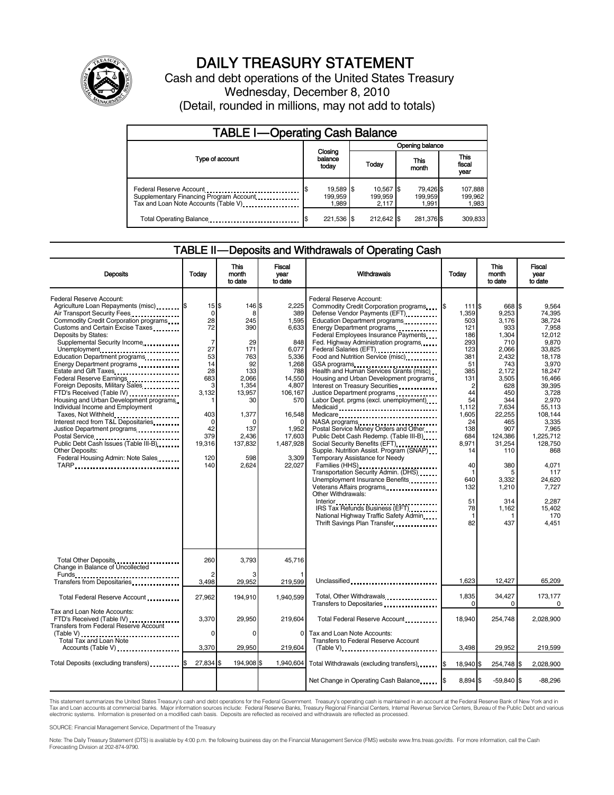

# DAILY TREASURY STATEMENT

Cash and debt operations of the United States Treasury Wednesday, December 8, 2010 (Detail, rounded in millions, may not add to totals)

| <b>TABLE I-Operating Cash Balance</b>                                                                       |                               |                               |                               |                               |  |  |
|-------------------------------------------------------------------------------------------------------------|-------------------------------|-------------------------------|-------------------------------|-------------------------------|--|--|
|                                                                                                             | Opening balance               |                               |                               |                               |  |  |
| Type of account                                                                                             | Closing<br>balance<br>today   | Today                         | This<br>month                 | <b>This</b><br>fiscal<br>year |  |  |
| Federal Reserve Account<br>Supplementary Financing Program Account<br>Tax and Loan Note Accounts (Table V). | 19,589 \$<br>199.959<br>1.989 | 10,567 \$<br>199.959<br>2.117 | 79.426 \$<br>199.959<br>1.991 | 107,888<br>199,962<br>1,983   |  |  |
| Total Operating Balance                                                                                     | 221,536 \$                    | 212,642                       | 281,376 \$                    | 309,833                       |  |  |

#### TABLE II — Deposits and Withdrawals of Operating Cash

| <b>Deposits</b>                                                                                                                                                                                                                                                                                                                                                                                                                                                                                                                                                                                                                                                                                                                                         | Todav                                                                                                                                                      | This<br>month<br>to date                                                                                                                         | Fiscal<br>year<br>to date                                                                                                                                                 | Withdrawals                                                                                                                                                                                                                                                                                                                                                                                                                                                                                                                                                                                                                                                                                                                                                                                                                                                                                                                                                                                                                                                                                                                                                                                                                        | Todav                                                                                                                                                                                                                        | <b>This</b><br>month<br>to date                                                                                                                                                                                                        | Fiscal<br>vear<br>to date                                                                                                                                                                                                                                                      |
|---------------------------------------------------------------------------------------------------------------------------------------------------------------------------------------------------------------------------------------------------------------------------------------------------------------------------------------------------------------------------------------------------------------------------------------------------------------------------------------------------------------------------------------------------------------------------------------------------------------------------------------------------------------------------------------------------------------------------------------------------------|------------------------------------------------------------------------------------------------------------------------------------------------------------|--------------------------------------------------------------------------------------------------------------------------------------------------|---------------------------------------------------------------------------------------------------------------------------------------------------------------------------|------------------------------------------------------------------------------------------------------------------------------------------------------------------------------------------------------------------------------------------------------------------------------------------------------------------------------------------------------------------------------------------------------------------------------------------------------------------------------------------------------------------------------------------------------------------------------------------------------------------------------------------------------------------------------------------------------------------------------------------------------------------------------------------------------------------------------------------------------------------------------------------------------------------------------------------------------------------------------------------------------------------------------------------------------------------------------------------------------------------------------------------------------------------------------------------------------------------------------------|------------------------------------------------------------------------------------------------------------------------------------------------------------------------------------------------------------------------------|----------------------------------------------------------------------------------------------------------------------------------------------------------------------------------------------------------------------------------------|--------------------------------------------------------------------------------------------------------------------------------------------------------------------------------------------------------------------------------------------------------------------------------|
| Federal Reserve Account:<br>Agriculture Loan Repayments (misc) [\$<br>Air Transport Security Fees<br>Commodity Credit Corporation programs<br>Customs and Certain Excise Taxes<br>Deposits by States:<br>Supplemental Security Income<br>Unemployment<br>Education Department programs<br>Energy Department programs<br>Estate and Gift Taxes<br>Federal Reserve Earnings<br>Foreign Deposits, Military Sales<br>FTD's Received (Table IV)<br>Housing and Urban Development programs<br>Individual Income and Employment<br>Taxes, Not Withheld<br>Interest recd from T&L Depositaries<br>Justice Department programs<br>Postal Service<br>Public Debt Cash Issues (Table III-B)<br><b>Other Deposits:</b><br>Federal Housing Admin: Note Sales<br>TARP | $15$ $\frac{1}{3}$<br>0<br>28<br>72<br>$\overline{7}$<br>27<br>53<br>14<br>28<br>683<br>3<br>3.132<br>403<br>$\Omega$<br>42<br>379<br>19,316<br>120<br>140 | 146 \$<br>8<br>245<br>390<br>29<br>171<br>763<br>92<br>133<br>2,066<br>1,354<br>13,957<br>30<br>1,377<br>137<br>2,436<br>137,832<br>598<br>2,624 | 2.225<br>389<br>1,595<br>6,633<br>848<br>6,077<br>5,336<br>1,268<br>788<br>14,550<br>4,807<br>106,167<br>570<br>16,548<br>1,952<br>17,603<br>1,487,928<br>3,309<br>22,027 | Federal Reserve Account:<br>Commodity Credit Corporation programs<br>Defense Vendor Payments (EFT)<br>Education Department programs<br>Energy Department programs<br>Federal Employees Insurance Payments<br>Fed. Highway Administration programs<br>Federal Salaries (EFT)<br>1991 - Pateral Salaries (EFT)<br>Food and Nutrition Service (misc) [100]<br>GSA programs<br>Health and Human Services Grants (misc)<br>Housing and Urban Development programs<br>Interest on Treasury Securities<br>Justice Department programs<br>Labor Dept. prgms (excl. unemployment)<br>Medicare<br>NASA programs<br>Postal Service Money Orders and Other<br>Public Debt Cash Redemp. (Table III-B)<br>Social Security Benefits (EFT)<br>Supple. Nutrition Assist. Program (SNAP)<br>Temporary Assistance for Needy<br>Transportation Security Admin. (DHS)<br>Unemployment Insurance Benefits<br>Other Withdrawals:<br>IRS Tax Refunds Business (EFT).<br>National Highway Traffic Safety Admin<br>Thrift Savings Plan Transfer<br>1991 - Thrift Savings Plan Transfer<br>1992 - Thrift Savings Plan Transfer<br>1993 - Thrift Savings Plan Transfer<br>1994 - Thrift Savings Plan Transfer<br>1994 - Thrift Savings Plan Transfer<br>1995 - | I\$<br>111 \$<br>1.359<br>503<br>121<br>186<br>293<br>123<br>381<br>51<br>385<br>131<br>$\overline{c}$<br>44<br>54<br>1,112<br>1,605<br>24<br>138<br>684<br>8,971<br>14<br>40<br>$\mathbf 1$<br>640<br>132<br>51<br>78<br>82 | 668 \$<br>9.253<br>3,176<br>933<br>1,304<br>710<br>2,066<br>2,432<br>743<br>2,172<br>3,505<br>628<br>450<br>344<br>7,634<br>22,255<br>465<br>907<br>124,386<br>31,254<br>110<br>380<br>5<br>3.332<br>1,210<br>314<br>1,162<br>1<br>437 | 9.564<br>74.395<br>38,724<br>7,958<br>12,012<br>9.870<br>33,825<br>18,178<br>3,970<br>18,247<br>16,466<br>39.395<br>3.728<br>2,970<br>55,113<br>108.144<br>3.335<br>7,965<br>1,225,712<br>128.750<br>868<br>4,071<br>117<br>24.620<br>7,727<br>2.287<br>15,402<br>170<br>4,451 |
| Total Other Deposits<br>Change in Balance of Uncollected                                                                                                                                                                                                                                                                                                                                                                                                                                                                                                                                                                                                                                                                                                | 260<br>$\overline{2}$                                                                                                                                      | 3.793                                                                                                                                            | 45.716                                                                                                                                                                    |                                                                                                                                                                                                                                                                                                                                                                                                                                                                                                                                                                                                                                                                                                                                                                                                                                                                                                                                                                                                                                                                                                                                                                                                                                    |                                                                                                                                                                                                                              |                                                                                                                                                                                                                                        |                                                                                                                                                                                                                                                                                |
| Funds<br>Transfers from Depositaries                                                                                                                                                                                                                                                                                                                                                                                                                                                                                                                                                                                                                                                                                                                    | 3,498                                                                                                                                                      | 29,952                                                                                                                                           | 219,599                                                                                                                                                                   | Unclassified                                                                                                                                                                                                                                                                                                                                                                                                                                                                                                                                                                                                                                                                                                                                                                                                                                                                                                                                                                                                                                                                                                                                                                                                                       | 1.623                                                                                                                                                                                                                        | 12.427                                                                                                                                                                                                                                 | 65.209                                                                                                                                                                                                                                                                         |
| Total Federal Reserve Account                                                                                                                                                                                                                                                                                                                                                                                                                                                                                                                                                                                                                                                                                                                           | 27,962                                                                                                                                                     | 194,910                                                                                                                                          | 1,940,599                                                                                                                                                                 | Total, Other Withdrawals<br>Transfers to Depositaries                                                                                                                                                                                                                                                                                                                                                                                                                                                                                                                                                                                                                                                                                                                                                                                                                                                                                                                                                                                                                                                                                                                                                                              | 1,835<br>$\Omega$                                                                                                                                                                                                            | 34,427<br>0                                                                                                                                                                                                                            | 173,177<br>0                                                                                                                                                                                                                                                                   |
| Tax and Loan Note Accounts:<br>FTD's Received (Table IV)<br>Transfers from Federal Reserve Account                                                                                                                                                                                                                                                                                                                                                                                                                                                                                                                                                                                                                                                      | 3,370                                                                                                                                                      | 29,950                                                                                                                                           | 219.604                                                                                                                                                                   | Total Federal Reserve Account                                                                                                                                                                                                                                                                                                                                                                                                                                                                                                                                                                                                                                                                                                                                                                                                                                                                                                                                                                                                                                                                                                                                                                                                      | 18.940                                                                                                                                                                                                                       | 254,748                                                                                                                                                                                                                                | 2,028,900                                                                                                                                                                                                                                                                      |
| (Table V)<br>Total Tax and Loan Note<br>Accounts (Table V)                                                                                                                                                                                                                                                                                                                                                                                                                                                                                                                                                                                                                                                                                              | $\Omega$<br>3,370                                                                                                                                          | $\Omega$<br>29,950                                                                                                                               | 0<br>219,604                                                                                                                                                              | Tax and Loan Note Accounts:<br>Transfers to Federal Reserve Account<br>$(Table V)$                                                                                                                                                                                                                                                                                                                                                                                                                                                                                                                                                                                                                                                                                                                                                                                                                                                                                                                                                                                                                                                                                                                                                 | 3.498                                                                                                                                                                                                                        | 29,952                                                                                                                                                                                                                                 | 219,599                                                                                                                                                                                                                                                                        |
| Total Deposits (excluding transfers) [100]                                                                                                                                                                                                                                                                                                                                                                                                                                                                                                                                                                                                                                                                                                              | 27,834                                                                                                                                                     | 194,908 \$                                                                                                                                       | 1,940,604                                                                                                                                                                 | Total Withdrawals (excluding transfers) [8]                                                                                                                                                                                                                                                                                                                                                                                                                                                                                                                                                                                                                                                                                                                                                                                                                                                                                                                                                                                                                                                                                                                                                                                        | 18,940 \$                                                                                                                                                                                                                    | 254,748 \$                                                                                                                                                                                                                             | 2,028,900                                                                                                                                                                                                                                                                      |
|                                                                                                                                                                                                                                                                                                                                                                                                                                                                                                                                                                                                                                                                                                                                                         |                                                                                                                                                            |                                                                                                                                                  |                                                                                                                                                                           | Net Change in Operating Cash Balance                                                                                                                                                                                                                                                                                                                                                                                                                                                                                                                                                                                                                                                                                                                                                                                                                                                                                                                                                                                                                                                                                                                                                                                               | 8,894 \$                                                                                                                                                                                                                     | $-59,840$ \$                                                                                                                                                                                                                           | $-88,296$                                                                                                                                                                                                                                                                      |

This statement summarizes the United States Treasury's cash and debt operations for the Federal Government. Treasury's operating cash is maintained in an account at the Federal Reserve Bank of New York and in<br>Tax and Loan electronic systems. Information is presented on a modified cash basis. Deposits are reflected as received and withdrawals are reflected as processed.

SOURCE: Financial Management Service, Department of the Treasury

Note: The Daily Treasury Statement (DTS) is available by 4:00 p.m. the following business day on the Financial Management Service (FMS) website www.fms.treas.gov/dts. For more information, call the Cash Forecasting Division at 202-874-9790.